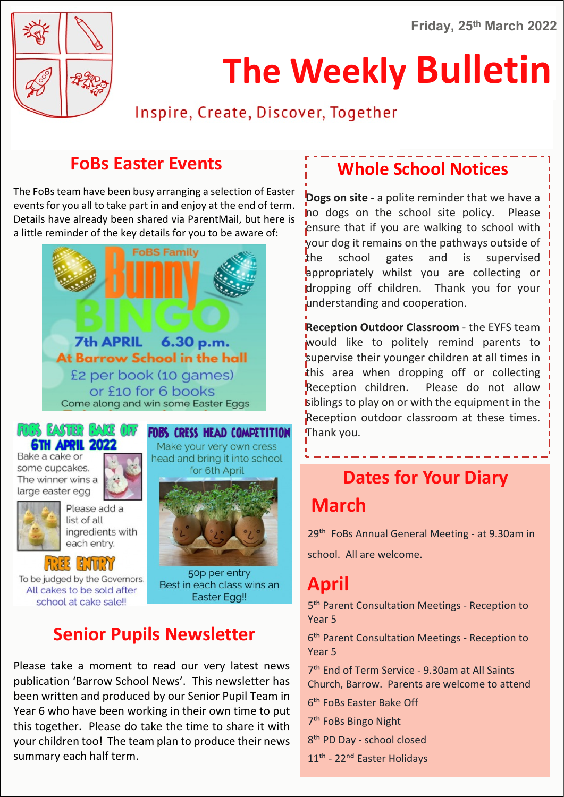

# **The Weekly Bulletin**

Inspire, Create, Discover, Together

### **FoBs Easter Events**

The FoBs team have been busy arranging a selection of Easter events for you all to take part in and enjoy at the end of term. Details have already been shared via ParentMail, but here is a little reminder of the key details for you to be aware of:



#### **FULLS EASTER FAME OFF 6TH APRIL 2022**

Bake a cake or some cupcakes. The winner wins a large easter egg





ingredients with each entry.



To be judged by the Governors. All cakes to be sold after school at cake sale!!

#### **FOBS CRESS HEAD COMPETITION**

Make your very own cress head and bring it into school for 6th April



50p per entry Best in each class wins an **Easter Egg!!** 

### **Senior Pupils Newsletter**

Please take a moment to read our very latest news publication 'Barrow School News'. This newsletter has been written and produced by our Senior Pupil Team in Year 6 who have been working in their own time to put this together. Please do take the time to share it with your children too! The team plan to produce their news summary each half term.

### **Whole School Notices**

**Dogs on site** - a polite reminder that we have a no dogs on the school site policy. Please ensure that if you are walking to school with your dog it remains on the pathways outside of the school gates and is supervised appropriately whilst you are collecting or dropping off children. Thank you for your understanding and cooperation.

**Reception Outdoor Classroom** - the EYFS team would like to politely remind parents to supervise their younger children at all times in this area when dropping off or collecting Reception children. Please do not allow siblings to play on or with the equipment in the Reception outdoor classroom at these times. Thank you.

### **Dates for Your Diary March**

29<sup>th</sup> FoBs Annual General Meeting - at 9.30am in school. All are welcome.

### **April**

5<sup>th</sup> Parent Consultation Meetings - Reception to Year 5

6<sup>th</sup> Parent Consultation Meetings - Reception to Year 5

7<sup>th</sup> End of Term Service - 9.30am at All Saints Church, Barrow. Parents are welcome to attend

6�� FoBs Easter Bake Off

- 7<sup>th</sup> FoBs Bingo Night
- 8<sup>th</sup> PD Day school closed
- 11<sup>th</sup> 22<sup>nd</sup> Easter Holidays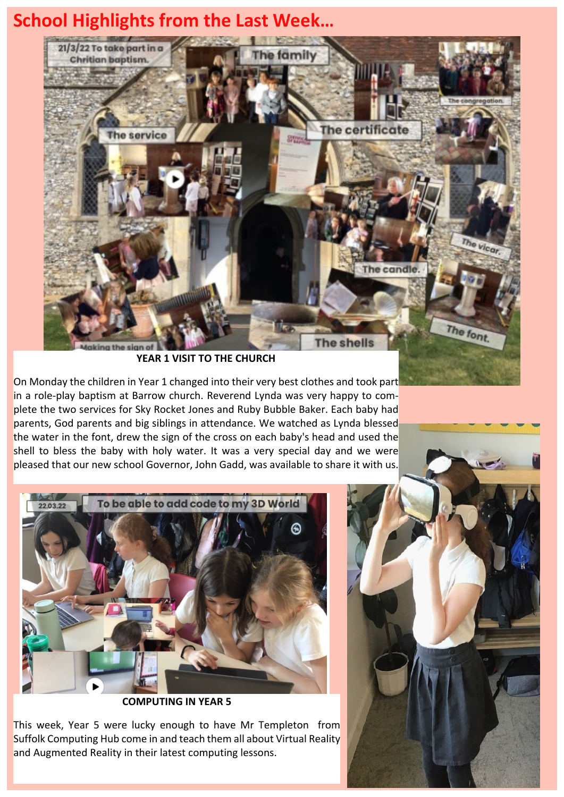### **School Highlights from the Last Week…**



**YEAR 1 VISIT TO THE CHURCH**

On Monday the children in Year 1 changed into their very best clothes and took part in a role-play baptism at Barrow church. Reverend Lynda was very happy to complete the two services for Sky Rocket Jones and Ruby Bubble Baker. Each baby had parents, God parents and big siblings in attendance. We watched as Lynda blessed the water in the font, drew the sign of the cross on each baby's head and used the shell to bless the baby with holy water. It was a very special day and we were pleased that our new school Governor, John Gadd, was available to share it with us.



**COMPUTING IN YEAR 5**

This week, Year 5 were lucky enough to have Mr Templeton from Suffolk Computing Hub come in and teach them all about Virtual Reality and Augmented Reality in their latest computing lessons.